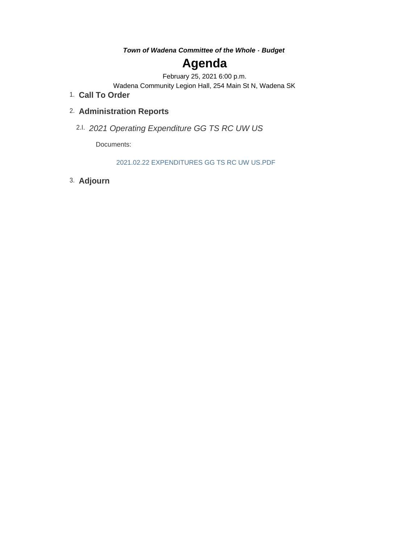*Town of Wadena Committee of the Whole - Budget*

# **Agenda**

February 25, 2021 6:00 p.m.

Wadena Community Legion Hall, 254 Main St N, Wadena SK

**Call To Order** 1.

# **Administration Reports** 2.

*2021 Operating Expenditure GG TS RC UW US* 2.I.

Documents:

2021.02.22 EXPENDITURES GG TS RC UW US.PDF

**Adjourn** 3.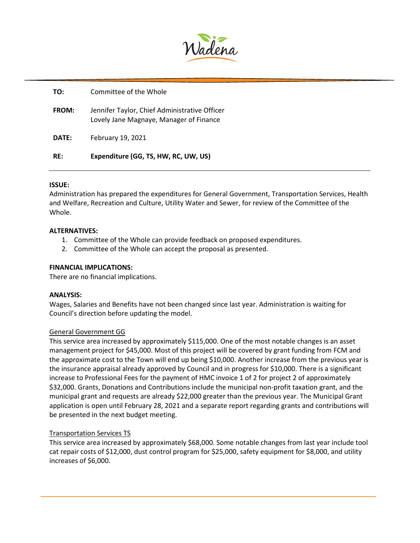

| RF:   | Expenditure (GG, TS, HW, RC, UW, US)                                                     |
|-------|------------------------------------------------------------------------------------------|
| DATE: | February 19, 2021                                                                        |
| FROM: | Jennifer Taylor, Chief Administrative Officer<br>Lovely Jane Magnaye, Manager of Finance |
| TO:   | Committee of the Whole                                                                   |

# **ISSUE:**

Administration has prepared the expenditures for General Government, Transportation Services, Health and Welfare, Recreation and Culture, Utility Water and Sewer, for review of the Committee of the Whole.

# **ALTERNATIVES:**

- 1. Committee of the Whole can provide feedback on proposed expenditures.
- 2. Committee of the Whole can accept the proposal as presented.

# **FINANCIAL IMPLICATIONS:**

There are no financial implications.

#### **ANALYSIS:**

Wages, Salaries and Benefits have not been changed since last year. Administration is waiting for Council's direction before updating the model.

#### General Government GG

This service area increased by approximately \$115,000. One of the most notable changes is an asset management project for \$45,000. Most of this project will be covered by grant funding from FCM and the approximate cost to the Town will end up being \$10,000. Another increase from the previous year is the insurance appraisal already approved by Council and in progress for \$10,000. There is a significant increase to Professional Fees for the payment of HMC invoice 1 of 2 for project 2 of approximately \$32,000. Grants, Donations and Contributions include the municipal non-profit taxation grant, and the municipal grant and requests are already \$22,000 greater than the previous year. The Municipal Grant application is open until February 28, 2021 and a separate report regarding grants and contributions will be presented in the next budget meeting.

#### Transportation Services TS

This service area increased by approximately \$68,000. Some notable changes from last year include tool cat repair costs of \$12,000, dust control program for \$25,000, safety equipment for \$8,000, and utility increases of \$6,000.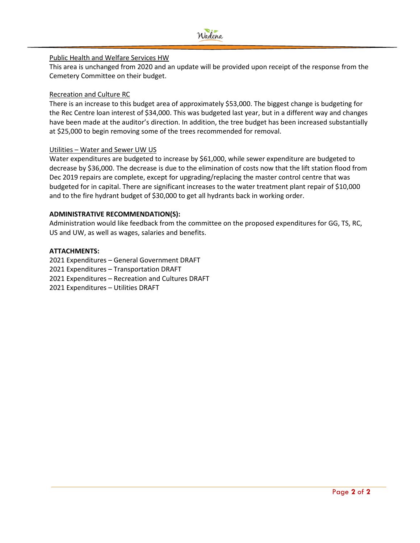

# Public Health and Welfare Services HW

This area is unchanged from 2020 and an update will be provided upon receipt of the response from the Cemetery Committee on their budget.

# Recreation and Culture RC

There is an increase to this budget area of approximately \$53,000. The biggest change is budgeting for the Rec Centre loan interest of \$34,000. This was budgeted last year, but in a different way and changes have been made at the auditor's direction. In addition, the tree budget has been increased substantially at \$25,000 to begin removing some of the trees recommended for removal.

# Utilities – Water and Sewer UW US

Water expenditures are budgeted to increase by \$61,000, while sewer expenditure are budgeted to decrease by \$36,000. The decrease is due to the elimination of costs now that the lift station flood from Dec 2019 repairs are complete, except for upgrading/replacing the master control centre that was budgeted for in capital. There are significant increases to the water treatment plant repair of \$10,000 and to the fire hydrant budget of \$30,000 to get all hydrants back in working order.

# **ADMINISTRATIVE RECOMMENDATION(S):**

Administration would like feedback from the committee on the proposed expenditures for GG, TS, RC, US and UW, as well as wages, salaries and benefits.

# **ATTACHMENTS:**

2021 Expenditures – General Government DRAFT 2021 Expenditures – Transportation DRAFT 2021 Expenditures – Recreation and Cultures DRAFT 2021 Expenditures – Utilities DRAFT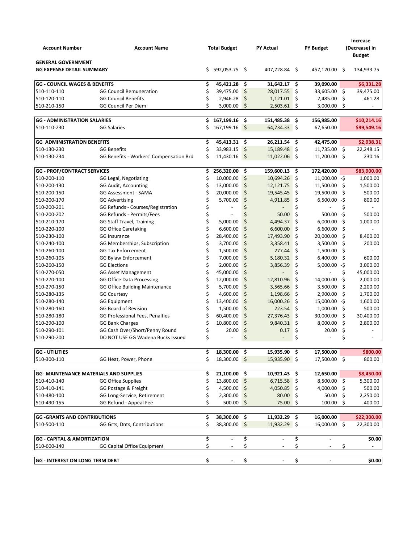| <b>Account Number</b>                                         | <b>Account Name</b>                     |     | <b>Total Budget</b>      |     | <b>PY Actual</b>         |     | <b>PY Budget</b> |      | <b>Increase</b><br>(Decrease) in<br><b>Budget</b> |
|---------------------------------------------------------------|-----------------------------------------|-----|--------------------------|-----|--------------------------|-----|------------------|------|---------------------------------------------------|
| <b>GENERAL GOVERNMENT</b><br><b>GG EXPENSE DETAIL SUMMARY</b> |                                         | \$. | 592,053.75               | \$  | 407,728.84               | -\$ | 457,120.00 \$    |      | 134,933.75                                        |
| <b>GG - COUNCIL WAGES &amp; BENEFITS</b>                      |                                         | \$  | 45,421.28                | \$  | 31,642.17                | \$  | 39,090.00        |      | \$6,331.28                                        |
| 510-110-110                                                   | <b>GG Council Remuneration</b>          | \$  | 39,475.00                | \$  | 28,017.55                | \$  | 33,605.00        | - \$ | 39,475.00                                         |
| 510-120-110                                                   | <b>GG Council Benefits</b>              | \$  | 2,946.28                 | \$  | 1,121.01                 | \$  | 2,485.00         | \$   | 461.28                                            |
| 510-210-150                                                   | <b>GG Council Per Diem</b>              | \$  | 3,000.00                 | \$  | 2,503.61                 | \$  | 3,000.00         | \$   | $\overline{\phantom{a}}$                          |
| <b>GG - ADMINISTRATION SALARIES</b>                           |                                         | \$. | 167,199.16               | \$  | 151,485.38               | \$  | 156,985.00       |      | \$10,214.16                                       |
| 510-110-230                                                   | <b>GG Salaries</b>                      | \$  | 167,199.16               | \$  | 64,734.33 \$             |     | 67,650.00        |      | \$99,549.16                                       |
| <b>GG ADMINISTRATION BENEFITS</b>                             |                                         | \$  | 45,413.31                | \$  | 26,211.54                | \$  | 42,475.00        |      | \$2,938.31                                        |
| 510-130-230                                                   | <b>GG Benefits</b>                      | \$  | 33,983.15                | \$  | 15,189.48                | \$  | 11,735.00        | \$   | 22,248.15                                         |
| 510-130-234                                                   | GG Benefits - Workers' Compensation Brd | \$  | 11,430.16                | \$  | 11,022.06                | \$  | 11,200.00        | \$   | 230.16                                            |
| <b>GG - PROF/CONTRACT SERVICES</b>                            |                                         | \$  | 256,320.00               | \$  | 159,600.13               | \$  | 172,420.00       |      | \$83,900.00                                       |
| 510-200-110                                                   | GG Legal, Negotiating                   | \$  | 10,000.00                | \$  | 10,694.26                | \$  | 11.000.00 -S     |      | 1,000.00                                          |
| 510-200-130                                                   | <b>GG Audit, Accounting</b>             | \$  | 13,000.00                | \$  | 12,121.75                | \$  | 11,500.00        | \$   | 1,500.00                                          |
| 510-200-150                                                   | <b>GG Assessment - SAMA</b>             | \$  | 20,000.00                | \$  | 19,545.45                | \$  | 19,500.00        | \$   | 500.00                                            |
| 510-200-170                                                   | <b>GG Advertising</b>                   | \$  | 5,700.00                 | \$  | 4,911.85                 | \$  | 6,500.00         | -\$  | 800.00                                            |
| 510-200-201                                                   | GG Refunds - Courses/Registration       | \$  |                          | \$  |                          | \$  |                  | \$   |                                                   |
| 510-200-202                                                   | GG Refunds - Permits/Fees               | \$  |                          | \$  | 50.00                    | \$  | $500.00 - $$     |      | 500.00                                            |
| 510-210-170                                                   | <b>GG Staff Travel, Training</b>        | \$  | 5,000.00                 | \$  | 4,494.37                 | \$  | 6,000.00         | -\$  | 1.000.00                                          |
| 510-220-100                                                   | <b>GG Office Caretaking</b>             | \$  | 6,600.00                 | \$  | 6,600.00                 | \$  | 6,600.00         | \$   |                                                   |
| 510-230-100                                                   | <b>GG Insurance</b>                     | \$  | 28,400.00                | \$  | 17,493.90                | \$  | 20,000.00        | \$   | 8,400.00                                          |
| 510-240-100                                                   | GG Memberships, Subscription            | \$  | 3,700.00                 | \$  | 3,358.41                 | \$  | 3,500.00         | \$   | 200.00                                            |
| 510-260-100                                                   | <b>GG Tax Enforcement</b>               | \$  | 1,500.00                 | \$  | 277.44                   | \$  | 1,500.00         | \$   |                                                   |
| 510-260-105                                                   | <b>GG Bylaw Enforcement</b>             | \$  | 7,000.00                 | \$  | 5,180.32                 | \$  | 6,400.00         | \$   | 600.00                                            |
| 510-260-150                                                   | <b>GG Elections</b>                     | \$  | 2,000.00                 | \$  | 3,856.39                 | \$  | 5,000.00         | -\$  | 3,000.00                                          |
| 510-270-050                                                   | <b>GG Asset Management</b>              | \$  | 45,000.00                | \$  |                          | \$  |                  | \$   | 45,000.00                                         |
| 510-270-100                                                   | <b>GG Office Data Processing</b>        | \$  | 12,000.00                | \$  | 12,810.96                | \$  | 14,000.00        | -\$  | 2,000.00                                          |
| 510-270-150                                                   | <b>GG Office Building Maintenance</b>   | \$  | 5,700.00                 | \$  | 3,565.66                 | \$  | 3,500.00         | \$   | 2,200.00                                          |
| 510-280-135                                                   | <b>GG Courtesy</b>                      | \$  | 4,600.00                 | \$  | 1,198.66                 | \$  | 2,900.00         | \$   | 1,700.00                                          |
| 510-280-140                                                   | <b>GG Equipment</b>                     | \$  | 13,400.00                | \$  | 16,000.26                | \$  | $15,000.00 - $$  |      | 1,600.00                                          |
| 510-280-160                                                   | <b>GG Board of Revision</b>             | \$  | 1,500.00                 | \$  | 223.54                   | \$  | 1,000.00         | \$   | 500.00                                            |
| 510-280-180                                                   | GG Professional Fees, Penalties         | \$  | 60,400.00                | \$  | 27,376.43                | \$  | 30,000.00        | \$   | 30,400.00                                         |
| 510-290-100                                                   | <b>GG Bank Charges</b>                  | \$  | 10,800.00                | \$  | 9,840.31                 | \$  | 8,000.00         | \$   | 2,800.00                                          |
| 510-290-101                                                   | GG Cash Over/Short/Penny Round          | \$  | 20.00                    | \$  | 0.17                     | \$  | 20.00            | \$   |                                                   |
| 510-290-200                                                   | DO NOT USE GG Wadena Bucks Issued       | \$  |                          | \$  | $\overline{\phantom{a}}$ | \$  |                  | \$   |                                                   |
| <b>GG - UTILITIES</b>                                         |                                         | \$  | 18,300.00                | -\$ | 15,935.90 \$             |     | 17,500.00        |      | \$800.00                                          |
| 510-300-110                                                   | GG Heat, Power, Phone                   | Ś   | 18,300.00                | \$  | 15,935.90 \$             |     | 17,500.00        | \$   | 800.00                                            |
| GG- MAINTENANCE MATERIALS AND SUPPLIES                        |                                         | \$  | 21,100.00                | \$  | 10,921.43                | \$  | 12,650.00        |      | \$8,450.00                                        |
| 510-410-140                                                   | <b>GG Office Supplies</b>               | \$  | 13,800.00                | \$  | 6,715.58                 | \$  | 8,500.00         | \$   | 5,300.00                                          |
| 510-410-141                                                   | GG Postage & Freight                    | \$  | 4,500.00                 | \$  | 4,050.85                 | \$  | 4,000.00         | \$   | 500.00                                            |
| 510-480-100                                                   | GG Long-Service, Retirement             | \$  | 2,300.00                 | \$  | 80.00                    | \$  | 50.00            | \$   | 2,250.00                                          |
| 510-490-155                                                   | GG Refund - Appeal Fee                  | \$  | 500.00                   | \$  | 75.00                    | \$  | 100.00           | \$   | 400.00                                            |
| <b>GG -GRANTS AND CONTRIBUTIONS</b>                           |                                         | \$  | 38,300.00                | \$  | 11,932.29                | \$  | 16,000.00        |      | \$22,300.00                                       |
| 510-500-110                                                   | GG Grts, Dnts, Contributions            | Ś   | 38,300.00                | \$  | 11,932.29                | \$  | 16,000.00        | \$   | 22,300.00                                         |
| <b>GG - CAPITAL &amp; AMORTIZATION</b>                        |                                         | \$  | $\overline{a}$           | \$  |                          | \$  |                  |      | \$0.00                                            |
| 510-600-140                                                   | <b>GG Capital Office Equipment</b>      | \$  |                          | \$  |                          | \$  |                  | \$   |                                                   |
| <b>GG - INTEREST ON LONG TERM DEBT</b>                        |                                         | \$  | $\overline{\phantom{a}}$ | \$  | $\blacksquare$           | \$  | $\blacksquare$   |      | \$0.00                                            |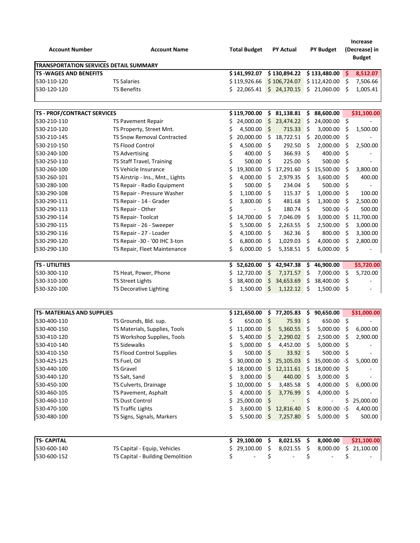| <b>Account Number</b>                         | <b>Account Name</b>              | <b>Total Budget</b> |         | <b>PY Actual</b> | <b>PY Budget</b>   |     | <b>Increase</b><br>(Decrease) in<br><b>Budget</b> |
|-----------------------------------------------|----------------------------------|---------------------|---------|------------------|--------------------|-----|---------------------------------------------------|
| <b>TRANSPORTATION SERVICES DETAIL SUMMARY</b> |                                  |                     |         |                  |                    |     |                                                   |
| <b>TS-WAGES AND BENEFITS</b>                  |                                  | \$141,992.07        |         | \$130,894.22     | \$133,480.00       | \$  | 8,512.07                                          |
| 530-110-120                                   | <b>TS Salaries</b>               | \$119,926.66        |         | \$106,724.07     | \$112,420.00       | \$  | 7,506.66                                          |
| 530-120-120                                   | <b>TS Benefits</b>               | \$22,065.41         |         | \$24,170.15      | \$21,060.00        | \$  | 1,005.41                                          |
| <b>TS - PROF/CONTRACT SERVICES</b>            |                                  | \$119,700.00        | \$      | 81,138.81        | \$<br>88,600.00    |     | \$31,100.00                                       |
| 530-210-110                                   | <b>TS Pavement Repair</b>        | \$<br>24,000.00     | \$      | 23,474.22        | \$<br>24,000.00    | \$  |                                                   |
| 530-210-120                                   | TS Property, Street Mnt.         | \$<br>4,500.00      | \$      | 715.33           | \$<br>3,000.00     | \$  | 1,500.00                                          |
| 530-210-145                                   | TS Snow Removal Contracted       | \$<br>20,000.00     | \$      | 18,722.51        | \$<br>20,000.00    | \$  |                                                   |
| 530-210-150                                   | <b>TS Flood Control</b>          | \$<br>4,500.00      | \$      | 292.50           | \$<br>2,000.00     | \$  | 2,500.00                                          |
| 530-240-100                                   | <b>TS Advertising</b>            | \$<br>400.00        | \$      | 366.93           | \$<br>400.00       | \$  |                                                   |
| 530-250-110                                   | TS Staff Travel, Training        | \$<br>500.00        | \$      | 225.00           | \$<br>500.00       | \$  |                                                   |
| 530-260-100                                   | TS Vehicle Insurance             | \$<br>19,300.00     | \$      | 17,291.60        | \$<br>15,500.00    | \$  | 3,800.00                                          |
| 530-260-101                                   | TS Airstrip - Ins., Mnt., Lights | \$<br>4,000.00      | $\zeta$ | 2,979.35         | \$<br>3,600.00     | \$  | 400.00                                            |
| 530-280-100                                   | TS Repair - Radio Equipment      | \$<br>500.00        | \$      | 234.04           | \$<br>500.00       | \$  |                                                   |
| 530-290-108                                   | TS Repair - Pressure Washer      | \$<br>1,100.00      | \$      | 115.37           | \$<br>1,000.00     | \$  | 100.00                                            |
| 530-290-111                                   | TS Repair - 14 - Grader          | \$<br>3,800.00      | \$      | 481.68           | \$<br>1,300.00     | \$  | 2,500.00                                          |
| 530-290-113                                   | TS Repair - Other                | \$                  | \$      | 180.74           | \$<br>$500.00 - $$ |     | 500.00                                            |
| 530-290-114                                   | TS Repair- Toolcat               | \$<br>14,700.00     | \$      | 7,046.09         | \$<br>3,000.00     | \$  | 11,700.00                                         |
| 530-290-115                                   | TS Repair - 26 - Sweeper         | \$<br>5,500.00      | \$      | 2,263.55         | \$<br>2,500.00     | \$  | 3,000.00                                          |
| 530-290-116                                   | TS Repair - 27 - Loader          | \$<br>4,100.00      | Ŝ.      | 362.36           | \$<br>800.00       | \$  | 3,300.00                                          |
| 530-290-120                                   | TS Repair -30 - '00 IHC 3-ton    | \$<br>6,800.00      | \$      | 1,029.03         | \$<br>4,000.00     | \$  | 2,800.00                                          |
| 530-290-130                                   | TS Repair, Fleet Maintenance     | \$<br>6,000.00      | \$      | 5,358.51         | \$<br>6,000.00     | \$  |                                                   |
| <b>TS - UTILITIES</b>                         |                                  | \$<br>52,620.00     | \$      | 42,947.38        | \$<br>46,900.00    |     | \$5,720.00                                        |
| 530-300-110                                   | TS Heat, Power, Phone            | \$<br>12,720.00     | \$      | 7,171.57         | \$<br>7,000.00     | \$  | 5,720.00                                          |
| 530-310-100                                   | <b>TS Street Lights</b>          | \$<br>38,400.00     | \$      | 34,653.69        | \$<br>38,400.00    | \$  |                                                   |
| 530-320-100                                   | TS Decorative Lighting           | \$<br>1,500.00      | \$      | 1,122.12         | \$<br>1,500.00     | \$  |                                                   |
| <b>TS- MATERIALS AND SUPPLIES</b>             |                                  | \$121,650.00        | \$      | 77,205.83        | \$<br>90,650.00    |     | \$31,000.00                                       |
| 530-400-110                                   | TS Grounds, Bld. sup.            | \$<br>650.00        | \$      | 75.93            | \$<br>650.00       | \$  |                                                   |
| 530-400-150                                   | TS Materials, Supplies, Tools    | \$<br>11,000.00     | \$      | 5,360.55         | \$<br>5,000.00     | \$  | 6,000.00                                          |
| 530-410-120                                   | TS Workshop Supplies, Tools      | \$<br>5,400.00      | \$      | 2,290.02         | \$<br>2,500.00     | \$  | 2,900.00                                          |
| 530-410-140                                   | <b>TS Sidewalks</b>              | \$<br>5,000.00      | \$.     | 4,452.00         | \$<br>5,000.00     | \$  |                                                   |
| 530-410-150                                   | <b>TS Flood Control Supplies</b> | \$<br>500.00        | \$      | 33.92            | \$<br>500.00       | \$  |                                                   |
| 530-425-125                                   | TS Fuel, Oil                     | \$<br>30,000.00     | \$      | 25,105.03        | \$<br>35,000.00    | -\$ | 5,000.00                                          |
| 530-440-100                                   | <b>TS Gravel</b>                 | \$<br>18,000.00     | \$      | 12,111.61        | \$<br>18,000.00    | \$  |                                                   |
| 530-440-120                                   | TS Salt, Sand                    | \$<br>3,000.00      | \$      | 440.00           | \$<br>3,000.00     | \$  |                                                   |
| 530-450-100                                   | TS Culverts, Drainage            | \$<br>10,000.00     | \$      | 3,485.58         | \$<br>4,000.00     | \$  | 6,000.00                                          |
| 530-460-105                                   | TS Pavement, Asphalt             | \$<br>4,000.00      | \$      | 3,776.99         | \$<br>4,000.00     | \$  |                                                   |
| 530-460-110                                   | <b>TS Dust Control</b>           | \$<br>25,000.00     | \$      |                  | \$                 | \$  | 25,000.00                                         |
| 530-470-100                                   | <b>TS Traffic Lights</b>         | \$<br>3,600.00      | \$      | 12,816.40        | \$<br>8,000.00     | -\$ | 4,400.00                                          |
| 530-480-100                                   | TS Signs, Signals, Markers       | \$<br>5,500.00      | \$      | 7,257.80         | \$<br>5,000.00     | \$  | 500.00                                            |
|                                               |                                  |                     |         |                  |                    |     |                                                   |
| <b>TS- CAPITAL</b>                            |                                  | \$29,100.00         | \$      | $8,021.55$ \$    | 8,000.00           |     | \$21,100.00                                       |
| 530-600-140                                   | TS Capital - Equip, Vehicles     | \$<br>29,100.00     | \$      | 8,021.55         | \$<br>8,000.00     | \$  | 21,100.00                                         |
| 530-600-152                                   | TS Capital - Building Demolition | \$                  | \$      |                  | \$                 | \$  |                                                   |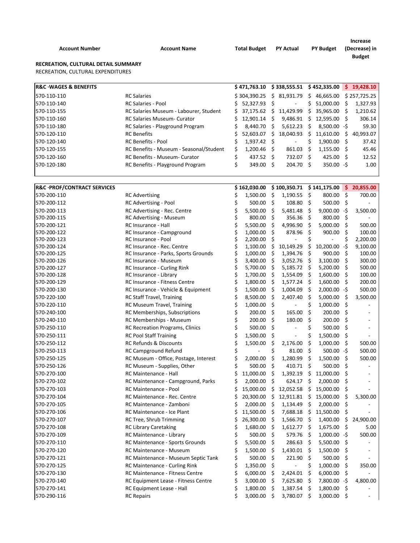| <b>Account Number</b><br>RECREATION, CULTURAL DETAIL SUMMARY | <b>Account Name</b>                     |    | <b>Total Budget</b> |      | <b>PY Actual</b>             |    | <b>PY Budget</b> |    | <b>Increase</b><br>(Decrease) in<br><b>Budget</b> |
|--------------------------------------------------------------|-----------------------------------------|----|---------------------|------|------------------------------|----|------------------|----|---------------------------------------------------|
| RECREATION, CULTURAL EXPENDITURES                            |                                         |    |                     |      |                              |    |                  |    |                                                   |
| <b>R&amp;C · WAGES &amp; BENEFITS</b>                        |                                         |    | \$471,763.10        |      | \$338,555.51                 |    | \$452,335.00     |    | \$19,428.10                                       |
| 570-110-110                                                  | <b>RC Salaries</b>                      |    | \$304,390.25        |      | \$31,931.79                  |    | \$46,665.00      |    | \$257,725.25                                      |
| 570-110-140                                                  | <b>RC Salaries - Pool</b>               | S. | 52.327.93           | Ŝ    |                              | Ś. | 51,000.00        | Ŝ. | 1,327.93                                          |
| 570-110-155                                                  | RC Salaries Museum - Labourer, Student  | Ś. | 37.175.62           | Ŝ.   | 11,429.99                    |    | \$35,965.00      | S  | 1,210.62                                          |
| 570-110-160                                                  | <b>RC Salaries Museum- Curator</b>      | S  | 12,901.14           | Ŝ    | 9,486.91                     | S. | 12,595.00        | -Ŝ | 306.14                                            |
| 570-110-180                                                  | RC Salaries - Playground Program        | Ś  | 8.440.70            | Ŝ    | 5.612.23                     | Ś. | $8,500.00 - $$   |    | 59.30                                             |
| 570-120-110                                                  | <b>RC</b> Benefits                      | S  | 52,603.07           | Ś.   | 18,040.93                    | Ś. | 11,610.00        | Ś. | 40,993.07                                         |
| 570-120-140                                                  | <b>RC Benefits - Pool</b>               | \$ | $1,937.42 \quad$ \$ |      | $\qquad \qquad \blacksquare$ | Ś. | 1,900.00         | S  | 37.42                                             |
| 570-120-155                                                  | RC Benefits - Museum - Seasonal/Student | S  | 1,200.46            | S    | 861.03                       | S. | 1,155.00         | S  | 45.46                                             |
| 570-120-160                                                  | RC Benefits - Museum- Curator           | \$ | 437.52 \$           |      | 732.07                       | Ŝ. | 425.00 \$        |    | 12.52                                             |
| 570-120-180                                                  | RC Benefits - Playground Program        | \$ | 349.00              | - \$ | 204.70 \$                    |    | $350.00 - $$     |    | 1.00                                              |
|                                                              |                                         |    |                     |      |                              |    |                  |    |                                                   |
| <b>R&amp;C ·PROF/CONTRACT SERVICES</b>                       |                                         |    | \$162,030.00        |      | \$100,350.71                 |    | \$141,175.00     | S. | 20,855.00                                         |
| 570-200-110                                                  | <b>RC Advertising</b>                   | Ś  | 1,500.00            | Ś    | 1,190.55                     | \$ | 800.00           | S  | 700.00                                            |

| 570-200-110 | <b>RC Advertising</b>                  | \$ | 1,500.00      | -Ş                  | 1,190.55                 | \$,                 | 800.00         | \$,                 | 700.00    |
|-------------|----------------------------------------|----|---------------|---------------------|--------------------------|---------------------|----------------|---------------------|-----------|
| 570-200-112 | RC Advertising - Pool                  | \$ | 500.00 \$     |                     | 108.80                   | -\$                 | 500.00         | -\$                 |           |
| 570-200-113 | RC Advertising - Rec. Centre           | \$ | 5,500.00      | \$                  | 5,481.48                 | \$                  | $9,000.00 - $$ |                     | 3,500.00  |
| 570-200-115 | <b>RC Advertising - Museum</b>         | \$ | 800.00        | - \$                | 356.36                   | - \$                | 800.00         | - \$                |           |
| 570-200-121 | RC Insurance - Hall                    | Ś  | 5,500.00      | \$                  | 4,996.90                 | $\zeta$             | 5,000.00       | $\mathsf{S}$        | 500.00    |
| 570-200-122 | RC Insurance - Campground              |    | 1,000.00      | Ŝ.                  | 878.96                   | \$                  | 900.00         | Ś.                  | 100.00    |
| 570-200-123 | RC Insurance - Pool                    |    | 2,200.00      | Ś                   |                          | Ś                   |                | \$                  | 2,200.00  |
| 570-200-124 | RC Insurance - Rec. Centre             |    | 1,100.00      | - \$                | 10,149.29                | \$                  | 10,200.00      | -\$                 | 9,100.00  |
| 570-200-125 | RC Insurance - Parks, Sports Grounds   | Ś  | 1,000.00      | \$                  | 1,394.76                 | \$                  | 900.00         | \$                  | 100.00    |
| 570-200-126 | RC Insurance - Museum                  | Ś  | 3,400.00      | \$                  | 3,052.76                 | \$                  | 3,100.00       | \$                  | 300.00    |
| 570-200-127 | RC Insurance - Curling Rink            | \$ | 5,700.00      | \$                  | $5,185.72$ \$            |                     | 5,200.00       | \$                  | 500.00    |
| 570-200-128 | RC Insurance - Library                 |    | 1,700.00      | \$                  | 1,554.09                 | \$                  | 1,600.00       | \$                  | 100.00    |
| 570-200-129 | RC Insurance - Fitness Centre          |    | 1,800.00      | - \$                | 1,577.24                 | \$                  | 1,600.00       | - \$                | 200.00    |
| 570-200-130 | RC Insurance - Vehicle & Equipment     | Ś  | 1,500.00      | - \$                | 1,004.09                 | Ŝ.                  | 2,000.00 -\$   |                     | 500.00    |
| 570-220-100 | RC Staff Travel, Training              | \$ | 8,500.00      | \$                  | 2,407.40                 | \$                  | 5,000.00       | $\ddot{\mathsf{S}}$ | 3,500.00  |
| 570-220-110 | RC Museum Travel, Training             | \$ | 1,000.00      | - \$                |                          | \$                  | 1,000.00       | \$                  |           |
| 570-240-100 | RC Memberships, Subscriptions          |    | 200.00        | $\ddot{\mathsf{s}}$ | 165.00                   | \$                  | 200.00         | \$                  |           |
| 570-240-110 | RC Memberships - Museum                | Ś  | 200.00        | \$                  | 180.00                   | Ś.                  | 200.00         | \$                  |           |
| 570-250-110 | <b>RC Recreation Programs, Clinics</b> | Ś  | 500.00        | Ś.                  |                          | \$                  | 500.00         | \$                  |           |
| 570-250-111 | <b>RC Pool Staff Training</b>          |    | 1,500.00      | \$                  |                          | \$                  | 1,500.00       | \$                  |           |
| 570-250-112 | <b>RC Refunds &amp; Discounts</b>      |    | 1,500.00      | Ś.                  | 2,176.00                 | \$                  | 1,000.00       | Ś.                  | 500.00    |
| 570-250-113 | RC Campground Refund                   | \$ |               | \$                  | 81.00                    | \$                  | $500.00 - $$   |                     | 500.00    |
| 570-250-125 | RC Museum - Office, Postage, Interest  | \$ | 2,000.00      | \$                  | 1,280.99                 | \$                  | 1,500.00       | \$                  | 500.00    |
| 570-250-126 | RC Museum - Supplies, Other            | Ś  | 500.00        | $\ddot{\mathsf{s}}$ | 410.71                   | - \$                | 500.00         | \$                  |           |
| 570-270-100 | RC Maintenance - Hall                  |    | 11,000.00     | \$                  | 1,392.19                 | \$                  | 11,000.00      | \$                  |           |
| 570-270-102 | RC Maintenance - Campground, Parks     |    | 2,000.00      | - \$                | 624.17                   | $\zeta$             | 2,000.00       | \$                  |           |
| 570-270-103 | <b>RC Maintenance - Pool</b>           |    | 15,000.00     | - \$                | 12,052.58                | - \$                | 15,000.00      | \$                  |           |
| 570-270-104 | RC Maintenance - Rec. Centre           |    | 20,300.00     | - \$                | 12,911.81                | - \$                | 15,000.00      | Ś                   | 5,300.00  |
| 570-270-105 | RC Maintenance - Zamboni               | Ś  | $2,000.00$ \$ |                     | 1,134.49                 | \$                  | 2,000.00       | \$                  |           |
| 570-270-106 | RC Maintenance - Ice Plant             |    | 11,500.00     | - \$                | 7,688.18                 | $\ddot{\mathsf{s}}$ | 11,500.00      | $\ddot{\varsigma}$  |           |
| 570-270-107 | RC Tree, Shrub Trimming                | Ś  | 26,300.00     | \$                  | 1,566.70                 | - \$                | 1,400.00       | \$                  | 24,900.00 |
| 570-270-108 | <b>RC Library Caretaking</b>           | Ś  | 1,680.00      | Ŝ.                  | 1,612.77 \$              |                     | 1,675.00       | S.                  | 5.00      |
| 570-270-109 | RC Maintenance - Library               |    | 500.00 \$     |                     | 579.76                   | - \$                | 1,000.00 -\$   |                     | 500.00    |
| 570-270-110 | <b>RC Maintenance - Sports Grounds</b> |    | 5,500.00      | - \$                | 286.63                   | - \$                | 5,500.00       | S,                  |           |
| 570-270-120 | RC Maintenance - Museum                | \$ | 1,500.00      | \$                  | 1,430.01                 | -\$                 | 1,500.00       | \$                  |           |
| 570-270-121 | RC Maintenance - Museum Septic Tank    | \$ | 500.00 \$     |                     | 221.90                   | - \$                | 500.00         | \$                  |           |
| 570-270-125 | RC Maintenance - Curling Rink          | \$ | 1,350.00      | $\ddot{\mathsf{s}}$ | $\overline{\phantom{a}}$ | \$                  | 1,000.00       | \$                  | 350.00    |
| 570-270-130 | RC Maintenance - Fitness Centre        | Ś  | 6,000.00      | \$                  | 2,424.01                 | Ŝ.                  | 6,000.00       | \$                  |           |
| 570-270-140 | RC Equipment Lease - Fitness Centre    | Ś  | 3,000.00      | - \$                | 7,625.80                 | S.                  | 7,800.00 -\$   |                     | 4,800.00  |
| 570-270-141 | RC Equipment Lease - Hall              |    | 1,800.00      | - \$                | 1,387.54                 | \$.                 | 1,800.00       | - \$                |           |
| 570-290-116 | <b>RC Repairs</b>                      | Ś  | 3,000.00      | - \$                | 3,780.07 \$              |                     | 3,000.00       | - \$                |           |
|             |                                        |    |               |                     |                          |                     |                |                     |           |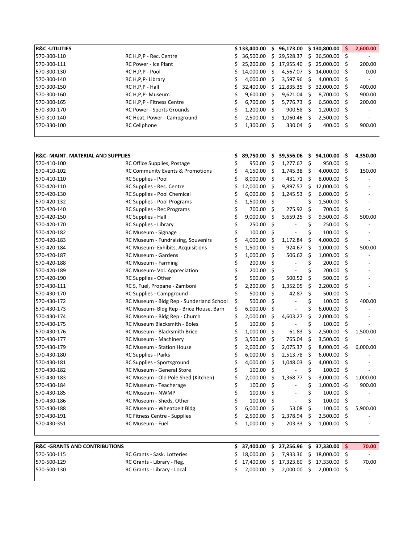| <b>R&amp;C · UTILITIES</b> |                                  |    | \$133,400.00  |     | \$96,173.00   |     | \$130,800.00  | S. | 2,600.00 |
|----------------------------|----------------------------------|----|---------------|-----|---------------|-----|---------------|----|----------|
| 570-300-110                | RC H, P, P - Rec. Centre         |    | \$36.500.00   | S.  | 29,528.37     | S.  | 36,500.00 \$  |    |          |
| 570-300-111                | <b>RC Power - Ice Plant</b>      |    | \$25.200.00   | S.  | 17,955.40     |     | \$25,000.00\$ |    | 200.00   |
| 570-300-130                | RC H, P, P - Pool                | S. | 14.000.00 \$  |     | 4,567.07      | S.  | 14.000.00 -S  |    | 0.00     |
| 570-300-140                | RC H, P, P- Library              |    | 4.000.00      | S.  | $3,597.96$ \$ |     | 4,000.00 \$   |    |          |
| 570-300-150                | RC H, P, P - Hall                |    | \$32,400.00   | S.  | 22,835.35     | Ŝ.  | 32,000.00 \$  |    | 400.00   |
| 570-300-160                | RC H, P, P- Museum               |    | 9.600.00      |     | 9,621.04      | S   | 8,700.00 \$   |    | 900.00   |
| 570-300-165                | RC H, P, P - Fitness Centre      |    | 6.700.00      | S   | 5.776.73      | S   | $6,500.00$ \$ |    | 200.00   |
| 570-300-170                | <b>RC Power - Sports Grounds</b> |    | $1,200.00$ \$ |     | $900.58$ \$   |     | $1,200.00$ \$ |    |          |
| 570-310-140                | RC Heat, Power - Campground      |    | 2.500.00      | - S | 1,060.46      |     | $2,500.00$ \$ |    |          |
| 570-330-100                | RC Cellphone                     |    | $1.300.00$ \$ |     | 330.04        | - S | 400.00        |    | 900.00   |
|                            |                                  |    |               |     |               |     |               |    |          |

| \$<br>950.00<br>950.00<br>- \$<br>570-410-100<br>RC Office Supplies, Postage<br>- \$<br>1,277.67<br>-\$<br>\$<br>Ś<br>4,150.00 \$<br>Ŝ.<br>570-410-102<br><b>RC Community Events &amp; Promotions</b><br>1,745.38<br>4,000.00<br>150.00<br>$\zeta$<br>$\ddot{\mathsf{s}}$<br>\$<br>570-410-110<br>RC Supplies - Pool<br>Ś<br>8,000.00<br>431.71<br>8,000.00<br>\$.<br>- \$<br>\$<br>570-420-110<br>RC Supplies - Rec. Centre<br>12,000.00<br>9,897.57<br>12,000.00<br>Ś<br>RC Supplies - Pool Chemical<br>\$<br>Ŝ.<br>570-420-130<br>Ś<br>6,000.00<br>1,245.53<br>6,000.00<br>\$<br>\$<br>570-420-132<br>RC Supplies - Pool Programs<br>\$<br>1,500.00<br>\$<br>1,500.00<br>\$<br>- \$<br>\$<br>570-420-140<br>RC Supplies - Rec Programs<br>\$<br>700.00<br>275.92<br>700.00<br>Ś<br>\$<br>\$<br>9,500.00 -\$<br>RC Supplies - Hall<br>9,000.00<br>570-420-150<br>3,659.25<br>500.00<br>Ś<br>Ś<br>Ś<br>\$<br>570-420-170<br>RC Supplies - Library<br>250.00<br>250.00<br>- \$<br>\$<br>\$<br>100.00<br>100.00<br>570-420-182<br>RC Museum - Signage<br>\$<br>Ŝ.<br>570-420-183<br>RC Museum - Fundraising, Souvenirs<br>Ś<br>4,000.00<br>1,172.84<br>Ŝ.<br>4,000.00<br>$\zeta$<br>\$<br>Ŝ.<br>570-420-184<br>RC Museum- Exhibits, Acquisitions<br>\$<br>1,500.00<br>924.67<br>1,000.00<br>500.00<br>$\ddot{\mathsf{s}}$<br>- \$<br>\$<br>570-420-187<br>RC Museum - Gardens<br>1,000.00<br>506.62<br>1,000.00<br>\$<br>Ś<br>\$<br>570-420-188<br>200.00<br>200.00<br><b>RC Museum - Farming</b><br>\$<br>\$<br>\$<br>\$<br>RC Museum- Vol. Appreciation<br>200.00<br>570-420-189<br>200.00 |
|---------------------------------------------------------------------------------------------------------------------------------------------------------------------------------------------------------------------------------------------------------------------------------------------------------------------------------------------------------------------------------------------------------------------------------------------------------------------------------------------------------------------------------------------------------------------------------------------------------------------------------------------------------------------------------------------------------------------------------------------------------------------------------------------------------------------------------------------------------------------------------------------------------------------------------------------------------------------------------------------------------------------------------------------------------------------------------------------------------------------------------------------------------------------------------------------------------------------------------------------------------------------------------------------------------------------------------------------------------------------------------------------------------------------------------------------------------------------------------------------------------------------------------------------------------------------------------------------|
|                                                                                                                                                                                                                                                                                                                                                                                                                                                                                                                                                                                                                                                                                                                                                                                                                                                                                                                                                                                                                                                                                                                                                                                                                                                                                                                                                                                                                                                                                                                                                                                             |
|                                                                                                                                                                                                                                                                                                                                                                                                                                                                                                                                                                                                                                                                                                                                                                                                                                                                                                                                                                                                                                                                                                                                                                                                                                                                                                                                                                                                                                                                                                                                                                                             |
|                                                                                                                                                                                                                                                                                                                                                                                                                                                                                                                                                                                                                                                                                                                                                                                                                                                                                                                                                                                                                                                                                                                                                                                                                                                                                                                                                                                                                                                                                                                                                                                             |
|                                                                                                                                                                                                                                                                                                                                                                                                                                                                                                                                                                                                                                                                                                                                                                                                                                                                                                                                                                                                                                                                                                                                                                                                                                                                                                                                                                                                                                                                                                                                                                                             |
|                                                                                                                                                                                                                                                                                                                                                                                                                                                                                                                                                                                                                                                                                                                                                                                                                                                                                                                                                                                                                                                                                                                                                                                                                                                                                                                                                                                                                                                                                                                                                                                             |
|                                                                                                                                                                                                                                                                                                                                                                                                                                                                                                                                                                                                                                                                                                                                                                                                                                                                                                                                                                                                                                                                                                                                                                                                                                                                                                                                                                                                                                                                                                                                                                                             |
|                                                                                                                                                                                                                                                                                                                                                                                                                                                                                                                                                                                                                                                                                                                                                                                                                                                                                                                                                                                                                                                                                                                                                                                                                                                                                                                                                                                                                                                                                                                                                                                             |
|                                                                                                                                                                                                                                                                                                                                                                                                                                                                                                                                                                                                                                                                                                                                                                                                                                                                                                                                                                                                                                                                                                                                                                                                                                                                                                                                                                                                                                                                                                                                                                                             |
|                                                                                                                                                                                                                                                                                                                                                                                                                                                                                                                                                                                                                                                                                                                                                                                                                                                                                                                                                                                                                                                                                                                                                                                                                                                                                                                                                                                                                                                                                                                                                                                             |
|                                                                                                                                                                                                                                                                                                                                                                                                                                                                                                                                                                                                                                                                                                                                                                                                                                                                                                                                                                                                                                                                                                                                                                                                                                                                                                                                                                                                                                                                                                                                                                                             |
|                                                                                                                                                                                                                                                                                                                                                                                                                                                                                                                                                                                                                                                                                                                                                                                                                                                                                                                                                                                                                                                                                                                                                                                                                                                                                                                                                                                                                                                                                                                                                                                             |
|                                                                                                                                                                                                                                                                                                                                                                                                                                                                                                                                                                                                                                                                                                                                                                                                                                                                                                                                                                                                                                                                                                                                                                                                                                                                                                                                                                                                                                                                                                                                                                                             |
|                                                                                                                                                                                                                                                                                                                                                                                                                                                                                                                                                                                                                                                                                                                                                                                                                                                                                                                                                                                                                                                                                                                                                                                                                                                                                                                                                                                                                                                                                                                                                                                             |
|                                                                                                                                                                                                                                                                                                                                                                                                                                                                                                                                                                                                                                                                                                                                                                                                                                                                                                                                                                                                                                                                                                                                                                                                                                                                                                                                                                                                                                                                                                                                                                                             |
|                                                                                                                                                                                                                                                                                                                                                                                                                                                                                                                                                                                                                                                                                                                                                                                                                                                                                                                                                                                                                                                                                                                                                                                                                                                                                                                                                                                                                                                                                                                                                                                             |
| S.<br>Ŝ.<br>Ś<br>570-420-190<br>RC Supplies - Other<br>500.00<br>500.52<br>500.00                                                                                                                                                                                                                                                                                                                                                                                                                                                                                                                                                                                                                                                                                                                                                                                                                                                                                                                                                                                                                                                                                                                                                                                                                                                                                                                                                                                                                                                                                                           |
| \$<br>570-430-111<br>RC S, Fuel, Propane - Zamboni<br>\$<br>2,200.00<br>\$<br>1,352.05<br>\$<br>2,200.00                                                                                                                                                                                                                                                                                                                                                                                                                                                                                                                                                                                                                                                                                                                                                                                                                                                                                                                                                                                                                                                                                                                                                                                                                                                                                                                                                                                                                                                                                    |
| \$<br>$\zeta$<br>$\zeta$<br>\$<br>570-430-170<br>RC Supplies - Campground<br>500.00<br>42.87<br>500.00                                                                                                                                                                                                                                                                                                                                                                                                                                                                                                                                                                                                                                                                                                                                                                                                                                                                                                                                                                                                                                                                                                                                                                                                                                                                                                                                                                                                                                                                                      |
| Ś<br>\$<br>$\ddot{\mathsf{s}}$<br>Ś.<br>570-430-172<br>RC Museum - Bldg Rep - Sunderland School<br>500.00<br>100.00<br>400.00<br>$\overline{\phantom{a}}$                                                                                                                                                                                                                                                                                                                                                                                                                                                                                                                                                                                                                                                                                                                                                                                                                                                                                                                                                                                                                                                                                                                                                                                                                                                                                                                                                                                                                                   |
| \$<br>\$<br>\$<br>\$<br>570-430-173<br>RC Museum- Bldg Rep - Brice House, Barn<br>6,000.00<br>6,000.00<br>$\overline{a}$                                                                                                                                                                                                                                                                                                                                                                                                                                                                                                                                                                                                                                                                                                                                                                                                                                                                                                                                                                                                                                                                                                                                                                                                                                                                                                                                                                                                                                                                    |
| \$<br>\$<br>\$<br>\$<br>RC Museum - Bldg Rep - Church<br>2,000.00<br>4,603.27<br>2,000.00<br>570-430-174                                                                                                                                                                                                                                                                                                                                                                                                                                                                                                                                                                                                                                                                                                                                                                                                                                                                                                                                                                                                                                                                                                                                                                                                                                                                                                                                                                                                                                                                                    |
| Ś<br>\$.<br>RC Museum Blacksmith - Boles<br>\$<br>\$<br>570-430-175<br>100.00<br>100.00                                                                                                                                                                                                                                                                                                                                                                                                                                                                                                                                                                                                                                                                                                                                                                                                                                                                                                                                                                                                                                                                                                                                                                                                                                                                                                                                                                                                                                                                                                     |
| $\ddot{\mathsf{s}}$<br>Ś<br>\$<br>$2,500.00 - $$<br>570-430-176<br><b>RC Museum - Blacksmith Brice</b><br>1,000.00<br>61.83<br>1,500.00                                                                                                                                                                                                                                                                                                                                                                                                                                                                                                                                                                                                                                                                                                                                                                                                                                                                                                                                                                                                                                                                                                                                                                                                                                                                                                                                                                                                                                                     |
| - \$<br>- \$<br>-\$<br>570-430-177<br>\$<br>3,500.00<br>765.04<br>3,500.00<br>RC Museum - Machinery                                                                                                                                                                                                                                                                                                                                                                                                                                                                                                                                                                                                                                                                                                                                                                                                                                                                                                                                                                                                                                                                                                                                                                                                                                                                                                                                                                                                                                                                                         |
| \$<br>Ś<br>2,000.00<br>2,075.37<br>-\$<br>$8,000.00 - $$<br>6,000.00<br>570-430-179<br>RC Museum - Station House                                                                                                                                                                                                                                                                                                                                                                                                                                                                                                                                                                                                                                                                                                                                                                                                                                                                                                                                                                                                                                                                                                                                                                                                                                                                                                                                                                                                                                                                            |
| Ś<br>Ŝ.<br>2,513.78<br>\$.<br>- Ś<br>570-430-180<br>RC Supplies - Parks<br>6,000.00<br>6,000.00                                                                                                                                                                                                                                                                                                                                                                                                                                                                                                                                                                                                                                                                                                                                                                                                                                                                                                                                                                                                                                                                                                                                                                                                                                                                                                                                                                                                                                                                                             |
| 570-430-181<br>RC Supplies - Sportsground<br>4,000.00<br>\$<br>1,048.03<br>- \$<br>-\$<br>4,000.00                                                                                                                                                                                                                                                                                                                                                                                                                                                                                                                                                                                                                                                                                                                                                                                                                                                                                                                                                                                                                                                                                                                                                                                                                                                                                                                                                                                                                                                                                          |
| Ś<br>- \$<br>Ś<br>Ŝ.<br>570-430-182<br>RC Museum - General Store<br>100.00<br>100.00                                                                                                                                                                                                                                                                                                                                                                                                                                                                                                                                                                                                                                                                                                                                                                                                                                                                                                                                                                                                                                                                                                                                                                                                                                                                                                                                                                                                                                                                                                        |
| \$<br>\$<br>\$<br>2,000.00<br>1,368.77<br>$3,000.00 - $$<br>1,000.00<br>570-430-183<br>RC Museum - Old Pole Shed (Kitchen)                                                                                                                                                                                                                                                                                                                                                                                                                                                                                                                                                                                                                                                                                                                                                                                                                                                                                                                                                                                                                                                                                                                                                                                                                                                                                                                                                                                                                                                                  |
| $\zeta$<br>\$<br>$1,000.00 - $$<br>570-430-184<br>RC Museum - Teacherage<br>100.00<br>900.00<br>$\overline{a}$                                                                                                                                                                                                                                                                                                                                                                                                                                                                                                                                                                                                                                                                                                                                                                                                                                                                                                                                                                                                                                                                                                                                                                                                                                                                                                                                                                                                                                                                              |
| \$<br>Ś<br>Ś<br>\$<br>570-430-185<br>RC Museum - NWMP<br>100.00<br>100.00                                                                                                                                                                                                                                                                                                                                                                                                                                                                                                                                                                                                                                                                                                                                                                                                                                                                                                                                                                                                                                                                                                                                                                                                                                                                                                                                                                                                                                                                                                                   |
| Ś<br>\$<br>\$<br>\$<br>570-430-186<br>RC Museum - Sheds, Other<br>100.00<br>100.00<br>$\overline{a}$                                                                                                                                                                                                                                                                                                                                                                                                                                                                                                                                                                                                                                                                                                                                                                                                                                                                                                                                                                                                                                                                                                                                                                                                                                                                                                                                                                                                                                                                                        |
| \$<br>Ś.<br>Ś.<br>570-430-188<br>RC Museum - Wheatbelt Bldg.<br>Ś<br>6,000.00<br>53.08<br>100.00<br>5,900.00                                                                                                                                                                                                                                                                                                                                                                                                                                                                                                                                                                                                                                                                                                                                                                                                                                                                                                                                                                                                                                                                                                                                                                                                                                                                                                                                                                                                                                                                                |
| 570-430-191<br>Ś<br>2,500.00<br>\$<br>2,378.94<br>\$<br>2,500.00<br>\$<br><b>RC Fitness Centre - Supplies</b>                                                                                                                                                                                                                                                                                                                                                                                                                                                                                                                                                                                                                                                                                                                                                                                                                                                                                                                                                                                                                                                                                                                                                                                                                                                                                                                                                                                                                                                                               |
| \$<br>$\ddot{\varsigma}$<br>Ś<br>1,000.00<br>\$<br>570-430-351<br>RC Museum - Fuel<br>203.33<br>1,000.00                                                                                                                                                                                                                                                                                                                                                                                                                                                                                                                                                                                                                                                                                                                                                                                                                                                                                                                                                                                                                                                                                                                                                                                                                                                                                                                                                                                                                                                                                    |
| <b>R&amp;C-GRANTS AND CONTRIBUTIONS</b><br>\$<br>37,400.00<br>\$.<br>27,256.96<br>\$<br>37,330.00<br>70.00<br>Ś                                                                                                                                                                                                                                                                                                                                                                                                                                                                                                                                                                                                                                                                                                                                                                                                                                                                                                                                                                                                                                                                                                                                                                                                                                                                                                                                                                                                                                                                             |
| 570-500-115<br>18,000.00<br>7,933.36<br>18,000.00<br>\$<br>RC Grants - Sask. Lotteries<br>Ŝ<br>\$                                                                                                                                                                                                                                                                                                                                                                                                                                                                                                                                                                                                                                                                                                                                                                                                                                                                                                                                                                                                                                                                                                                                                                                                                                                                                                                                                                                                                                                                                           |
| 17,400.00<br>\$<br>17,323.60<br>\$<br>Ś<br>70.00<br>570-500-129<br>Ś<br>17,330.00<br>RC Grants - Library - Reg.                                                                                                                                                                                                                                                                                                                                                                                                                                                                                                                                                                                                                                                                                                                                                                                                                                                                                                                                                                                                                                                                                                                                                                                                                                                                                                                                                                                                                                                                             |

570‐500‐130 RC Grants ‐ Library ‐ Local \$ 2,000.00 \$ 2,000.00 \$ 2,000.00 \$ -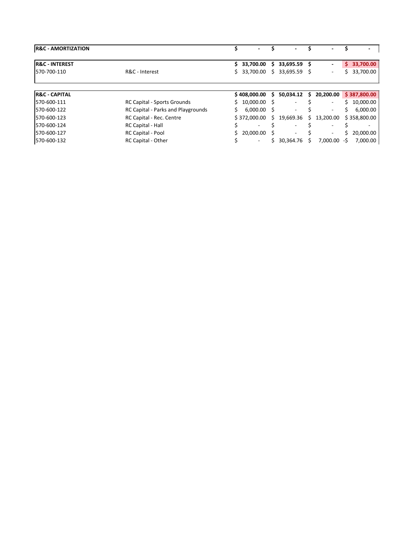| <b>R&amp;C - AMORTIZATION</b> |                                    |    |                          |     | $\overline{\phantom{0}}$ |    |                          |    | $\overline{\phantom{0}}$ |
|-------------------------------|------------------------------------|----|--------------------------|-----|--------------------------|----|--------------------------|----|--------------------------|
| <b>IR&amp;C - INTEREST</b>    |                                    | S. | 33,700.00                | S.  | 33,695.59 \$             |    | ٠                        | Ś. | 33,700.00                |
| 570-700-110                   | R&C - Interest                     |    | \$33,700.00              | S.  | 33,695.59                | -S | ۰                        |    | 33,700.00                |
|                               |                                    |    |                          |     |                          |    |                          |    |                          |
| <b>R&amp;C - CAPITAL</b>      |                                    |    | \$408,000.00             | S.  | 50,034.12                | \$ | 20,200.00                |    | \$387,800.00             |
| 570-600-111                   | <b>RC Capital - Sports Grounds</b> | Ś. | 10,000.00                | - S |                          |    | ۰                        |    | 10,000.00                |
| 570-600-122                   | RC Capital - Parks and Playgrounds | Ś. | $6.000.00$ \$            |     | $\overline{\phantom{a}}$ |    | ۰                        | S  | 6,000.00                 |
| 570-600-123                   | RC Capital - Rec. Centre           |    | \$372,000.00             | S.  | 19,669.36                | S. | 13.200.00                |    | \$358,800.00             |
| 570-600-124                   | <b>RC Capital - Hall</b>           |    |                          |     |                          |    |                          |    |                          |
| 570-600-127                   | RC Capital - Pool                  |    | \$20,000.00              | - S | $\overline{\phantom{0}}$ |    | $\overline{\phantom{a}}$ | S  | 20,000.00                |
| 570-600-132                   | RC Capital - Other                 |    | $\overline{\phantom{a}}$ | Ś.  | 30.364.76                |    | 7.000.00                 | -Ś | 7,000.00                 |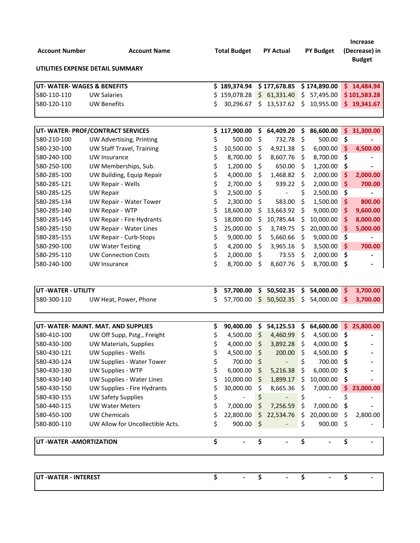| <b>Account Number</b>      | <b>Account Name</b>                                      |          | <b>Total Budget</b>                  |               | <b>PY Actual</b> |           | <b>PY Budget</b>                     |                     | <b>Increase</b><br>(Decrease) in<br><b>Budget</b> |
|----------------------------|----------------------------------------------------------|----------|--------------------------------------|---------------|------------------|-----------|--------------------------------------|---------------------|---------------------------------------------------|
|                            | UTILITIES EXPENSE DETAIL SUMMARY                         |          |                                      |               |                  |           |                                      |                     |                                                   |
| UT-WATER-WAGES & BENEFITS  |                                                          |          | \$189,374.94                         |               | \$177,678.85     |           | \$174,890.00                         |                     | \$14,484.94                                       |
| 580-110-110                | <b>UW Salaries</b>                                       | Ś        | 159,078.28                           |               | \$61,331.40      | \$        | 57,495.00                            |                     | \$101,583.28                                      |
| 580-120-110                | <b>UW Benefits</b>                                       | Ś        | 30,296.67                            |               | \$13,537.62      | \$        | 10,955.00                            | \$.                 | 19,341.67                                         |
|                            |                                                          |          |                                      |               |                  |           |                                      |                     |                                                   |
|                            | UT- WATER- PROF/CONTRACT SERVICES                        | \$       | 117,900.00                           | \$            | 64,409.20        | \$        | 86,600.00                            | \$                  | 31,300.00                                         |
| 580-210-100                | UW Advertising, Printing                                 | \$       | 500.00                               | \$            | 732.78           | \$        | 500.00                               | \$                  |                                                   |
| 580-230-100                | <b>UW Staff Travel, Training</b>                         | \$       | 10,500.00                            | \$            | 4,921.38         | \$,       | 6,000.00                             | $\ddot{\bm{\zeta}}$ | 4,500.00                                          |
| 580-240-100                | UW Insurance                                             | \$       | 8,700.00                             | \$            | 8,607.76         | \$        | 8,700.00                             | \$                  |                                                   |
| 580-250-100                | UW Memberships, Sub.                                     | \$       | 1,200.00                             | \$            | 650.00           | \$        | 1,200.00                             | \$                  |                                                   |
| 580-285-100                | UW Building, Equip Repair                                | \$       | 4,000.00                             | \$            | 1,468.82         | \$        | 2,000.00                             | \$                  | 2,000.00                                          |
| 580-285-121                | UW Repair - Wells                                        | \$       | 2,700.00                             | \$            | 939.22           | \$        | 2,000.00                             | \$                  | 700.00                                            |
| 580-285-125                | <b>UW Repair</b>                                         | \$       | 2,500.00                             | \$            |                  | \$        | 2,500.00                             | \$                  |                                                   |
| 580-285-134                | UW Repair - Water Tower                                  | \$       | 2,300.00                             | \$            | 583.00           | \$        | 1,500.00                             | \$                  | 800.00                                            |
| 580-285-140                | UW Repair - WTP                                          | \$       | 18,600.00                            | \$            | 13,663.92        | \$        | 9,000.00                             | \$                  | 9,600.00                                          |
| 580-285-145                | UW Repair - Fire Hydrants                                | \$       | 18,000.00                            | \$            | 10,785.44        | \$        | 10,000.00                            | \$                  | 8,000.00                                          |
| 580-285-150                | <b>UW Repair - Water Lines</b>                           | \$       | 25,000.00                            | \$            | 3,749.75         | \$        | 20,000.00                            | \$                  | 5,000.00                                          |
| 580-285-155                | <b>UW Repair - Curb-Stops</b>                            | \$       | 9,000.00                             | \$            | 5,660.66         | \$        | 9,000.00                             | \$                  |                                                   |
| 580-290-100                | <b>UW Water Testing</b>                                  | \$       | 4,200.00                             | \$            | 3,965.16         | Ş         | 3,500.00                             | $\ddot{\bm{\zeta}}$ | 700.00                                            |
| 580-295-110                | <b>UW Connection Costs</b>                               | \$<br>\$ | 2,000.00                             | \$            | 73.55            | \$        | 2,000.00                             | \$                  |                                                   |
| 580-240-100                | UW Insurance                                             |          | 8,700.00                             | \$            | 8,607.76         | \$        | 8,700.00                             | \$                  |                                                   |
| UT - WATER - UTILITY       |                                                          | \$       | 57,700.00                            | \$.           | 50,502.35        | \$        | 54,000.00 \$                         |                     | 3,700.00                                          |
| 580-300-110                | UW Heat, Power, Phone                                    | \$       | 57,700.00                            | \$            | 50,502.35        | S         | 54,000.00                            | S                   | 3,700.00                                          |
|                            |                                                          |          |                                      |               |                  |           |                                      |                     |                                                   |
|                            | UT- WATER- MAINT. MAT. AND SUPPLIES                      | \$       | 90,400.00                            | \$            | 54,125.53        | Ş         | 64,600.00                            | \$                  | 25,800.00                                         |
| 580-410-100                | UW Off Supp, Pstg., Freight                              | Ş        | 4,500.00                             | \$            | 4,460.99         | \$        | 4,500.00                             | Ş                   |                                                   |
| 580-430-100                | UW Materials, Supplies                                   | \$       | 4,000.00                             | \$            | 3,892.28         |           | 4,000.00                             | Ś                   |                                                   |
| 580-430-121                | UW Supplies - Wells                                      | \$       | 4,500.00                             | \$            | $200.00$ \$      |           | 4,500.00 \$                          |                     |                                                   |
| 580-430-124                | UW Supplies - Water Tower                                | \$       | 700.00                               | \$            |                  | \$        | 700.00 \$                            |                     |                                                   |
| 580-430-130<br>580-430-140 | UW Supplies - WTP                                        | \$       | 6,000.00                             | \$            | $5,216.38$ \$    |           | 6,000.00                             | - S                 |                                                   |
| 580-430-150                | UW Supplies - Water Lines                                | \$       | 10,000.00<br>30,000.00               |               | \$1,899.17       | -\$       | 10,000.00<br>$7,000.00$ \$           | - \$                |                                                   |
| 580-430-155                | UW Supplies - Fire Hydrants<br><b>UW Safety Supplies</b> |          |                                      | \$<br>\$      | 8,665.36         | S         |                                      |                     | 23,000.00                                         |
| 580-440-115                | <b>UW Water Meters</b>                                   | \$<br>\$ | $\overline{\phantom{a}}$<br>7,000.00 | \$            | 7,256.59         | \$        | $\overline{\phantom{a}}$<br>7,000.00 | \$                  |                                                   |
| 580-450-100                | <b>UW Chemicals</b>                                      |          |                                      | $\frac{1}{2}$ | 22,534.76        | \$        |                                      | \$                  |                                                   |
| 580-800-110                | UW Allow for Uncollectible Acts.                         | \$<br>\$ | 22,800.00<br>900.00                  |               |                  | -\$<br>\$ | 20,000.00 \$<br>900.00               | -S                  | 2,800.00                                          |
|                            |                                                          |          |                                      | \$            |                  |           |                                      |                     |                                                   |
| UT - WATER - AMORTIZATION  |                                                          | \$       |                                      | \$            |                  | \$        |                                      | \$                  |                                                   |
|                            |                                                          |          |                                      |               |                  |           |                                      |                     |                                                   |
| UT-WATER - INTEREST        |                                                          | \$       |                                      | \$            |                  | \$        |                                      | \$                  |                                                   |